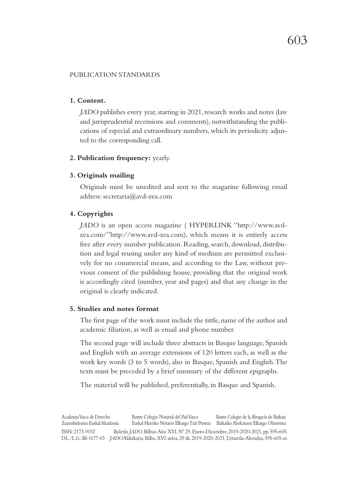### PUBLICATION STANDARDS

# **1. Content.**

*JADO* publishes every year, starting in 2021, research works and notes (law and jurisprudential recensions and comments), notwithstanding the publications of especial and extraordinary numbers, which its periodicity adjusted to the corresponding call.

#### **2. Publication frequency:** yearly.

#### **3. Originals mailing**

Originals must be unedited and sent to the magazine following email address: secretaria@avd-zea.com

# **4. Copyrights**

*JADO* is an open access magazine ( HYPERLINK "http://www.avdzea.com/"http://www.avd-zea.com), which means it is entirely access free after every number publication. Reading, search, download, distribution and legal reusing under any kind of medium are permitted exclusively for no commercial means, and according to the Law, without previous consent of the publishing house, providing that the original work is accordingly cited (number, year and pages) and that any change in the original is clearly indicated.

### **5. Studies and notes format**

The first page of the work must include the tittle, name of the author and academic filiation, as well as email and phone number.

The second page will include three abstracts in Basque language, Spanish and English with an average extensions of 120 letters each, as well as the work key words (3 to 5 words), also in Basque, Spanish and English. The texts must be preceded by a brief summary of the different epigraphs.

The material will be published, preferentially, in Basque and Spanish.

Academia Vasca de Derecho Ilustre Colegio Notarial del País Vasco Ilustre Colegio de la Abogacía de Bizkaia Zuzenbidearen Euskal Akademia Euskal Herriko Notario Elkargo Txit Prestua Bizkaiko Abokatuen Elkargo Ohoretsua ISSN: 2173-9102 Boletín *JADO*. Bilbao. Año XVI. Nº 29. Enero-Diciembre, 2019-2020-2021, pp. 595-605. D.L./L.G.: BI-1677-03 *JADO* Aldizkaria. Bilbo. XVI. urtea. 29 zk. 2019-2020-2021, Urtarrila-Abendua, 595-605 or.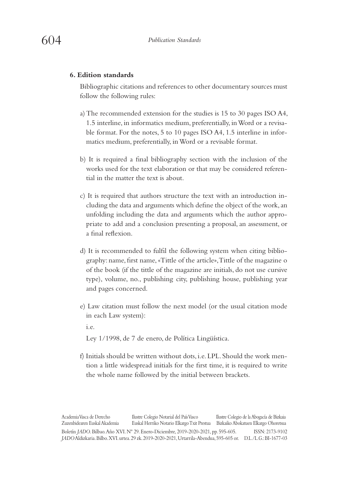### **6. Edition standards**

Bibliographic citations and references to other documentary sources must follow the following rules:

- a) The recommended extension for the studies is 15 to 30 pages ISO A4, 1.5 interline, in informatics medium, preferentially, in Word or a revisable format. For the notes, 5 to 10 pages ISO A4, 1.5 interline in informatics medium, preferentially, in Word or a revisable format.
- b) It is required a final bibliography section with the inclusion of the works used for the text elaboration or that may be considered referential in the matter the text is about.
- c) It is required that authors structure the text with an introduction including the data and arguments which define the object of the work, an unfolding including the data and arguments which the author appropriate to add and a conclusion presenting a proposal, an assessment, or a final reflexion.
- d) It is recommended to fulfil the following system when citing bibliography: name, first name, «Tittle of the article», Tittle of the magazine o of the book (if the tittle of the magazine are initials, do not use cursive type), volume, no., publishing city, publishing house, publishing year and pages concerned.
- e) Law citation must follow the next model (or the usual citation mode in each Law system):

i.e.

Ley 1/1998, de 7 de enero, de Política Lingüística.

f) Initials should be written without dots, i.e. LPL. Should the work mention a little widespread initials for the first time, it is required to write the whole name followed by the initial between brackets.

Academia Vasca de Derecho Ilustre Colegio Notarial del País Vasco Ilustre Colegio de la Abogacía de Bizkaia Zuzenbidearen Euskal Akademia Euskal Herriko Notario Elkargo Txit Prestua Bizkaiko Abokatuen Elkargo Ohoretsua Boletín *JADO*. Bilbao. Año XVI. Nº 29. Enero-Diciembre, 2019-2020-2021, pp. 595-605. ISSN: 2173-9102 *JADO* Aldizkaria. Bilbo. XVI. urtea. 29 zk. 2019-2020-2021, Urtarrila-Abendua, 595-605 or. D.L./L.G.: BI-1677-03